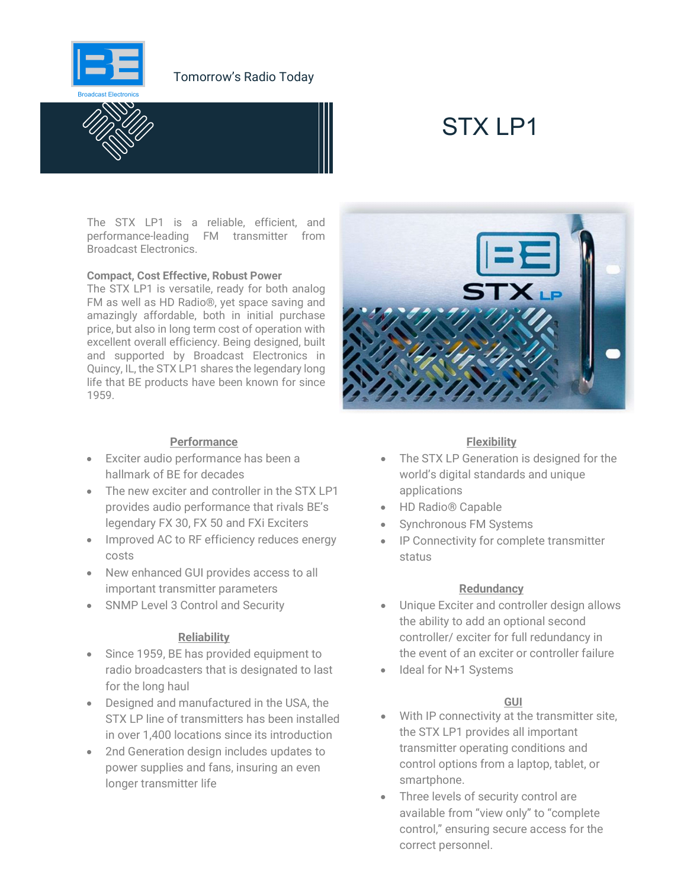

## Tomorrow's Radio Today



# STX IP1

The STX LP1 is a reliable, efficient, and performance-leading FM transmitter from Broadcast Electronics.

#### Compact, Cost Effective, Robust Power

The STX LP1 is versatile, ready for both analog FM as well as HD Radio®, yet space saving and amazingly affordable, both in initial purchase price, but also in long term cost of operation with excellent overall efficiency. Being designed, built and supported by Broadcast Electronics in Quincy, IL, the STX LP1 shares the legendary long life that BE products have been known for since 1959.

## **Performance**

- Exciter audio performance has been a hallmark of BE for decades
- The new exciter and controller in the STX LP1 provides audio performance that rivals BE's legendary FX 30, FX 50 and FXi Exciters
- Improved AC to RF efficiency reduces energy costs
- New enhanced GUI provides access to all important transmitter parameters
- SNMP Level 3 Control and Security

## **Reliability**

- Since 1959, BE has provided equipment to radio broadcasters that is designated to last for the long haul
- Designed and manufactured in the USA, the STX LP line of transmitters has been installed in over 1,400 locations since its introduction
- 2nd Generation design includes updates to power supplies and fans, insuring an even longer transmitter life



### **Flexibility**

- The STX LP Generation is designed for the world's digital standards and unique applications
- HD Radio® Capable
- Synchronous FM Systems
- IP Connectivity for complete transmitter status

#### **Redundancy**

- Unique Exciter and controller design allows the ability to add an optional second controller/ exciter for full redundancy in the event of an exciter or controller failure
- Ideal for N+1 Systems

## GUI

- With IP connectivity at the transmitter site, the STX LP1 provides all important transmitter operating conditions and control options from a laptop, tablet, or smartphone.
- Three levels of security control are available from "view only" to "complete control," ensuring secure access for the correct personnel.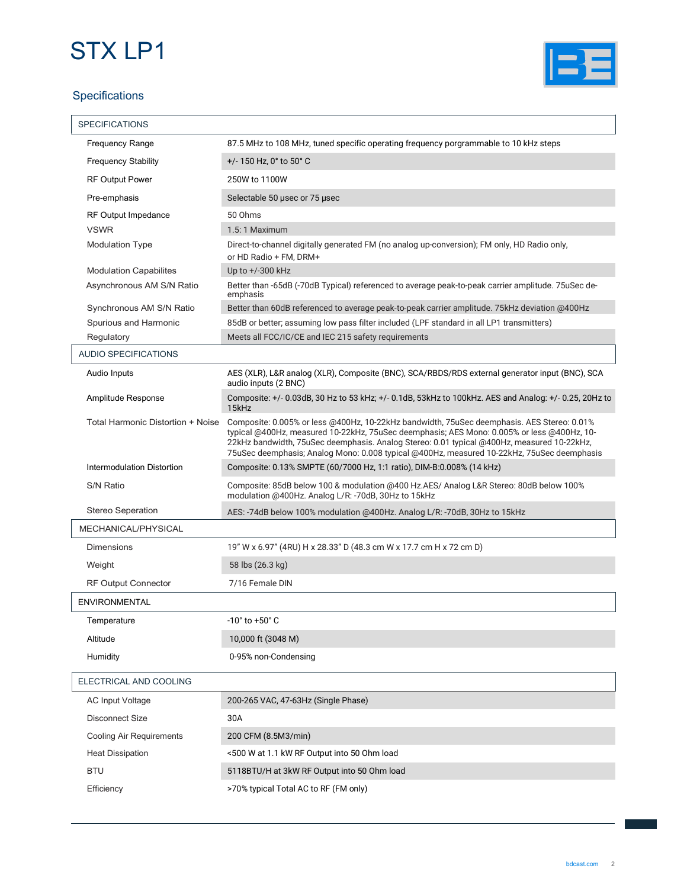# STX LP1





| <b>SPECIFICATIONS</b>             |                                                                                                                                                                                                                                                                                                                                                                                      |
|-----------------------------------|--------------------------------------------------------------------------------------------------------------------------------------------------------------------------------------------------------------------------------------------------------------------------------------------------------------------------------------------------------------------------------------|
| <b>Frequency Range</b>            | 87.5 MHz to 108 MHz, tuned specific operating frequency porgrammable to 10 kHz steps                                                                                                                                                                                                                                                                                                 |
| <b>Frequency Stability</b>        | $+/- 150$ Hz, 0° to 50° C                                                                                                                                                                                                                                                                                                                                                            |
| <b>RF Output Power</b>            | 250W to 1100W                                                                                                                                                                                                                                                                                                                                                                        |
| Pre-emphasis                      | Selectable 50 usec or 75 usec                                                                                                                                                                                                                                                                                                                                                        |
| <b>RF Output Impedance</b>        | 50 Ohms                                                                                                                                                                                                                                                                                                                                                                              |
| <b>VSWR</b>                       | 1.5:1 Maximum                                                                                                                                                                                                                                                                                                                                                                        |
| <b>Modulation Type</b>            | Direct-to-channel digitally generated FM (no analog up-conversion); FM only, HD Radio only,<br>or HD Radio + FM, DRM+                                                                                                                                                                                                                                                                |
| <b>Modulation Capabilites</b>     | Up to $+/300$ kHz                                                                                                                                                                                                                                                                                                                                                                    |
| Asynchronous AM S/N Ratio         | Better than -65dB (-70dB Typical) referenced to average peak-to-peak carrier amplitude. 75uSec de-<br>emphasis                                                                                                                                                                                                                                                                       |
| Synchronous AM S/N Ratio          | Better than 60dB referenced to average peak-to-peak carrier amplitude. 75kHz deviation @400Hz                                                                                                                                                                                                                                                                                        |
| Spurious and Harmonic             | 85dB or better; assuming low pass filter included (LPF standard in all LP1 transmitters)                                                                                                                                                                                                                                                                                             |
| Regulatory                        | Meets all FCC/IC/CE and IEC 215 safety requirements                                                                                                                                                                                                                                                                                                                                  |
| <b>AUDIO SPECIFICATIONS</b>       |                                                                                                                                                                                                                                                                                                                                                                                      |
| Audio Inputs                      | AES (XLR), L&R analog (XLR), Composite (BNC), SCA/RBDS/RDS external generator input (BNC), SCA<br>audio inputs (2 BNC)                                                                                                                                                                                                                                                               |
| Amplitude Response                | Composite: +/- 0.03dB, 30 Hz to 53 kHz; +/- 0.1dB, 53kHz to 100kHz. AES and Analog: +/- 0.25, 20Hz to<br>15kHz                                                                                                                                                                                                                                                                       |
| Total Harmonic Distortion + Noise | Composite: 0.005% or less @400Hz, 10-22kHz bandwidth, 75uSec deemphasis. AES Stereo: 0.01%<br>typical @400Hz, measured 10-22kHz, 75uSec deemphasis; AES Mono: 0.005% or less @400Hz, 10-<br>22kHz bandwidth, 75uSec deemphasis. Analog Stereo: 0.01 typical @400Hz, measured 10-22kHz,<br>75uSec deemphasis; Analog Mono: 0.008 typical @400Hz, measured 10-22kHz, 75uSec deemphasis |
| Intermodulation Distortion        | Composite: 0.13% SMPTE (60/7000 Hz, 1:1 ratio), DIM-B:0.008% (14 kHz)                                                                                                                                                                                                                                                                                                                |
| S/N Ratio                         | Composite: 85dB below 100 & modulation @400 Hz.AES/ Analog L&R Stereo: 80dB below 100%<br>modulation @400Hz. Analog L/R: -70dB, 30Hz to 15kHz                                                                                                                                                                                                                                        |
| <b>Stereo Seperation</b>          | AES: -74dB below 100% modulation @400Hz. Analog L/R: -70dB, 30Hz to 15kHz                                                                                                                                                                                                                                                                                                            |
| MECHANICAL/PHYSICAL               |                                                                                                                                                                                                                                                                                                                                                                                      |
| <b>Dimensions</b>                 | 19" W x 6.97" (4RU) H x 28.33" D (48.3 cm W x 17.7 cm H x 72 cm D)                                                                                                                                                                                                                                                                                                                   |
| Weight                            | 58 lbs (26.3 kg)                                                                                                                                                                                                                                                                                                                                                                     |
| <b>RF Output Connector</b>        | 7/16 Female DIN                                                                                                                                                                                                                                                                                                                                                                      |
| ENVIRONMENTAL                     |                                                                                                                                                                                                                                                                                                                                                                                      |
| Temperature                       | $-10^{\circ}$ to $+50^{\circ}$ C                                                                                                                                                                                                                                                                                                                                                     |
| Altitude                          | 10,000 ft (3048 M)                                                                                                                                                                                                                                                                                                                                                                   |
| Humidity                          | 0-95% non-Condensing                                                                                                                                                                                                                                                                                                                                                                 |
| ELECTRICAL AND COOLING            |                                                                                                                                                                                                                                                                                                                                                                                      |
| AC Input Voltage                  | 200-265 VAC, 47-63Hz (Single Phase)                                                                                                                                                                                                                                                                                                                                                  |
| <b>Disconnect Size</b>            | 30A                                                                                                                                                                                                                                                                                                                                                                                  |
| <b>Cooling Air Requirements</b>   | 200 CFM (8.5M3/min)                                                                                                                                                                                                                                                                                                                                                                  |
|                                   |                                                                                                                                                                                                                                                                                                                                                                                      |
| <b>Heat Dissipation</b>           | <500 W at 1.1 kW RF Output into 50 Ohm load                                                                                                                                                                                                                                                                                                                                          |
| <b>BTU</b>                        | 5118BTU/H at 3kW RF Output into 50 Ohm load                                                                                                                                                                                                                                                                                                                                          |
| Efficiency                        | >70% typical Total AC to RF (FM only)                                                                                                                                                                                                                                                                                                                                                |